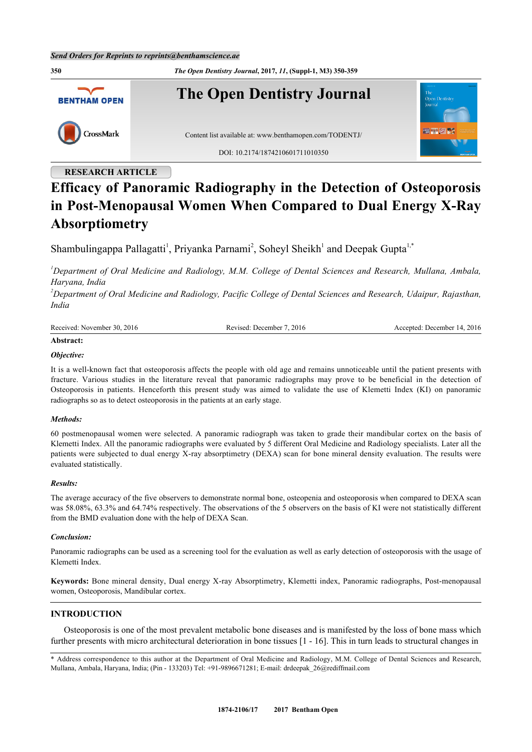**350** *The Open Dentistry Journal***, 2017,** *11***, (Suppl-1, M3) 350-359 The Open Dentistry Journal BENTHAM OPEN** CrossMark Content list available at: [www.benthamopen.com/TODENTJ/](http://www.benthamopen.com/TODENTJ/) DOI: [10.2174/1874210601711010350](http://dx.doi.org/10.2174/1874210601711010350)

# **RESEARCH ARTICLE**

# **Efficacy of Panoramic Radiography in the Detection of Osteoporosis in Post-Menopausal Women When Compared to Dual Energy X-Ray Absorptiometry**

Shambulingappa Pallagatti<sup>[1](#page-0-0)</sup>, Priyanka Parnami<sup>[2](#page-0-0)</sup>, Soheyl Sheikh<sup>1</sup> and Deepak Gupta<sup>[1,](#page-0-0)[\\*](#page-0-1)</sup>

<span id="page-0-0"></span>*<sup>1</sup>Department of Oral Medicine and Radiology, M.M. College of Dental Sciences and Research, Mullana, Ambala, Haryana, India*

*<sup>2</sup>Department of Oral Medicine and Radiology, Pacific College of Dental Sciences and Research, Udaipur, Rajasthan, India*

| Received: November 30, 2016 | Revised: December 7, 2016 | Accepted: December 14, 2016 |
|-----------------------------|---------------------------|-----------------------------|
|-----------------------------|---------------------------|-----------------------------|

### **Abstract:**

# *Objective:*

It is a well-known fact that osteoporosis affects the people with old age and remains unnoticeable until the patient presents with fracture. Various studies in the literature reveal that panoramic radiographs may prove to be beneficial in the detection of Osteoporosis in patients. Henceforth this present study was aimed to validate the use of Klemetti Index (KI) on panoramic radiographs so as to detect osteoporosis in the patients at an early stage.

# *Methods:*

60 postmenopausal women were selected. A panoramic radiograph was taken to grade their mandibular cortex on the basis of Klemetti Index. All the panoramic radiographs were evaluated by 5 different Oral Medicine and Radiology specialists. Later all the patients were subjected to dual energy X-ray absorptimetry (DEXA) scan for bone mineral density evaluation. The results were evaluated statistically.

# *Results:*

The average accuracy of the five observers to demonstrate normal bone, osteopenia and osteoporosis when compared to DEXA scan was 58.08%, 63.3% and 64.74% respectively. The observations of the 5 observers on the basis of KI were not statistically different from the BMD evaluation done with the help of DEXA Scan.

# *Conclusion:*

Panoramic radiographs can be used as a screening tool for the evaluation as well as early detection of osteoporosis with the usage of Klemetti Index.

**Keywords:** Bone mineral density, Dual energy X-ray Absorptimetry, Klemetti index, Panoramic radiographs, Post-menopausal women, Osteoporosis, Mandibular cortex.

# **INTRODUCTION**

Osteoporosis is one of the most prevalent metabolic bone diseases and is manifested by the loss of bone mass which further presents with micro architectural deterioration in bone tissues [[1](#page-7-0) - [16\]](#page-8-0). This in turn leads to structural changes in

<span id="page-0-1"></span><sup>\*</sup> Address correspondence to this author at the Department of Oral Medicine and Radiology, M.M. College of Dental Sciences and Research, Mullana, Ambala, Haryana, India; (Pin - 133203) Tel: +91-9896671281; E-mail: [drdeepak\\_26@rediffmail.com](mailto:drdeepak_26@rediffmail.com)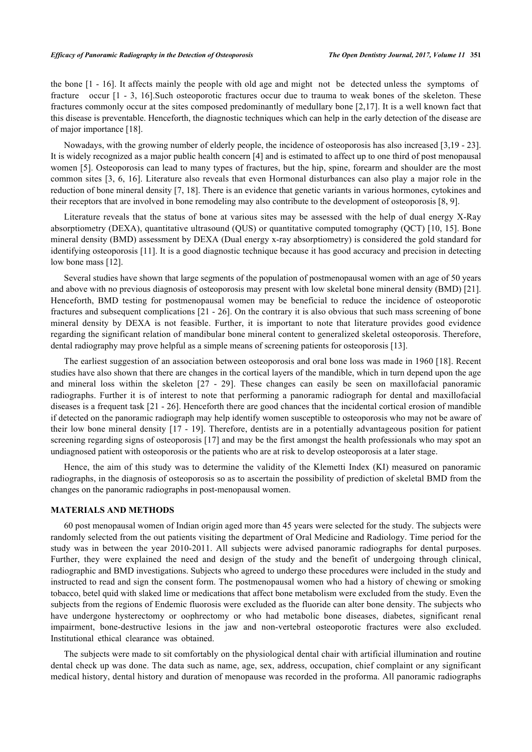the bone [\[1](#page-7-0) - [16\]](#page-8-0). It affects mainly the people with old age and might not be detected unless the symptoms of fracture occur [[1](#page-7-0) - [3,](#page-7-1) [16\]](#page-8-0).Such osteoporotic fractures occur due to trauma to weak bones of the skeleton. These fractures commonly occur at the sites composed predominantly of medullary bone [[2,](#page-7-2)[17](#page-8-1)]. It is a well known fact that this disease is preventable. Henceforth, the diagnostic techniques which can help in the early detection of the disease are of major importance [\[18](#page-8-2)].

Nowadays, with the growing number of elderly people, the incidence of osteoporosis has also increased [\[3,](#page-7-1)[19](#page-8-3) - [23\]](#page-8-4). It is widely recognized as a major public health concern [\[4](#page-7-3)] and is estimated to affect up to one third of post menopausal women [\[5](#page-7-4)]. Osteoporosis can lead to many types of fractures, but the hip, spine, forearm and shoulder are the most common sites [[3](#page-7-1), [6](#page-7-5), [16\]](#page-8-0). Literature also reveals that even Hormonal disturbances can also play a major role in the reduction of bone mineral density [\[7](#page-7-6), [18](#page-8-2)]. There is an evidence that genetic variants in various hormones, cytokines and their receptors that are involved in bone remodeling may also contribute to the development of osteoporosis [[8,](#page-7-7) [9\]](#page-7-8).

Literature reveals that the status of bone at various sites may be assessed with the help of dual energy X-Ray absorptiometry (DEXA), quantitative ultrasound (QUS) or quantitative computed tomography (QCT) [[10](#page-7-9), [15](#page-8-5)]. Bone mineral density (BMD) assessment by DEXA (Dual energy x-ray absorptiometry) is considered the gold standard for identifying osteoporosis [\[11](#page-7-10)]. It is a good diagnostic technique because it has good accuracy and precision in detecting low bone mass [[12\]](#page-8-6).

Several studies have shown that large segments of the population of postmenopausal women with an age of 50 years and above with no previous diagnosis of osteoporosis may present with low skeletal bone mineral density (BMD) [[21\]](#page-8-7). Henceforth, BMD testing for postmenopausal women may be beneficial to reduce the incidence of osteoporotic fractures and subsequent complications [[21](#page-8-7) - [26\]](#page-8-8). On the contrary it is also obvious that such mass screening of bone mineral density by DEXA is not feasible. Further, it is important to note that literature provides good evidence regarding the significant relation of mandibular bone mineral content to generalized skeletal osteoporosis. Therefore, dental radiography may prove helpful as a simple means of screening patients for osteoporosis [[13\]](#page-8-9).

The earliest suggestion of an association between osteoporosis and oral bone loss was made in 1960 [\[18](#page-8-2)]. Recent studies have also shown that there are changes in the cortical layers of the mandible, which in turn depend upon the age and mineral loss within the skeleton [\[27](#page-8-10) - [29\]](#page-8-11). These changes can easily be seen on maxillofacial panoramic radiographs. Further it is of interest to note that performing a panoramic radiograph for dental and maxillofacial diseases is a frequent task [[21](#page-8-7) - [26\]](#page-8-8). Henceforth there are good chances that the incidental cortical erosion of mandible if detected on the panoramic radiograph may help identify women susceptible to osteoporosis who may not be aware of their low bone mineral density [\[17](#page-8-1) - [19](#page-8-3)]. Therefore, dentists are in a potentially advantageous position for patient screening regarding signs of osteoporosis [[17](#page-8-1)] and may be the first amongst the health professionals who may spot an undiagnosed patient with osteoporosis or the patients who are at risk to develop osteoporosis at a later stage.

Hence, the aim of this study was to determine the validity of the Klemetti Index (KI) measured on panoramic radiographs, in the diagnosis of osteoporosis so as to ascertain the possibility of prediction of skeletal BMD from the changes on the panoramic radiographs in post-menopausal women.

# **MATERIALS AND METHODS**

60 post menopausal women of Indian origin aged more than 45 years were selected for the study. The subjects were randomly selected from the out patients visiting the department of Oral Medicine and Radiology. Time period for the study was in between the year 2010-2011. All subjects were advised panoramic radiographs for dental purposes. Further, they were explained the need and design of the study and the benefit of undergoing through clinical, radiographic and BMD investigations. Subjects who agreed to undergo these procedures were included in the study and instructed to read and sign the consent form. The postmenopausal women who had a history of chewing or smoking tobacco, betel quid with slaked lime or medications that affect bone metabolism were excluded from the study. Even the subjects from the regions of Endemic fluorosis were excluded as the fluoride can alter bone density. The subjects who have undergone hysterectomy or oophrectomy or who had metabolic bone diseases, diabetes, significant renal impairment, bone-destructive lesions in the jaw and non-vertebral osteoporotic fractures were also excluded. Institutional ethical clearance was obtained.

The subjects were made to sit comfortably on the physiological dental chair with artificial illumination and routine dental check up was done. The data such as name, age, sex, address, occupation, chief complaint or any significant medical history, dental history and duration of menopause was recorded in the proforma. All panoramic radiographs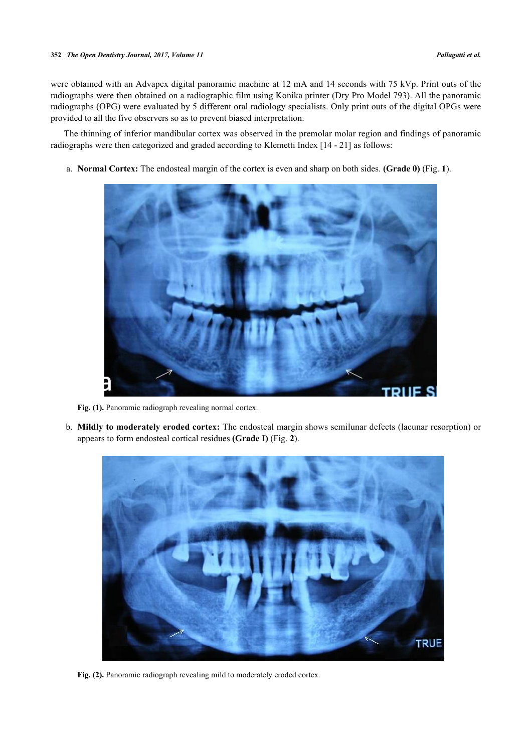were obtained with an Advapex digital panoramic machine at 12 mA and 14 seconds with 75 kVp. Print outs of the radiographs were then obtained on a radiographic film using Konika printer (Dry Pro Model 793). All the panoramic radiographs (OPG) were evaluated by 5 different oral radiology specialists. Only print outs of the digital OPGs were provided to all the five observers so as to prevent biased interpretation.

The thinning of inferior mandibular cortex was observed in the premolar molar region and findings of panoramic radiographs were then categorized and graded according to Klemetti Index [[14](#page-8-12) - [21\]](#page-8-7) as follows:

<span id="page-2-0"></span>a. **Normal Cortex:** The endosteal margin of the cortex is even and sharp on both sides. **(Grade 0)** [\(Fig.](#page-2-0) **[1](#page-2-0)**[\).](#page-2-0)



Fig. (1). Panoramic radiograph revealing normal cortex.

<span id="page-2-1"></span>b. **Mildly to moderately eroded cortex:** The endosteal margin shows semilunar defects (lacunar resorption) or appears to form endosteal cortical residues **(Grade I)** [\(Fig.](#page-2-1) **[2](#page-2-1)**[\).](#page-2-1)



Fig. (2). Panoramic radiograph revealing mild to moderately eroded cortex.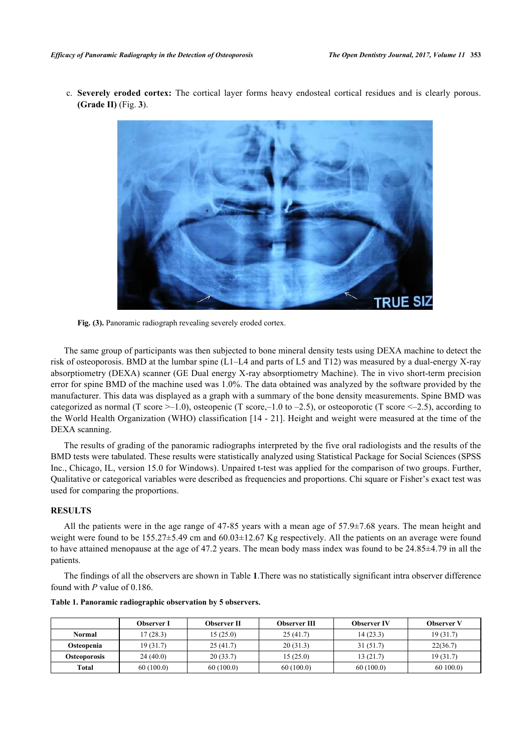

<span id="page-3-0"></span>c. **Severely eroded cortex:** The cortical layer forms heavy endosteal cortical residues and is clearly porous. **(Grade II)** [\(Fig.](#page-3-0) **[3](#page-3-0)**[\).](#page-3-0)

Fig. (3). Panoramic radiograph revealing severely eroded cortex.

The same group of participants was then subjected to bone mineral density tests using DEXA machine to detect the risk of osteoporosis. BMD at the lumbar spine (L1–L4 and parts of L5 and T12) was measured by a dual-energy X-ray absorptiometry (DEXA) scanner (GE Dual energy X-ray absorptiometry Machine). The in vivo short-term precision error for spine BMD of the machine used was 1.0%. The data obtained was analyzed by the software provided by the manufacturer. This data was displayed as a graph with a summary of the bone density measurements. Spine BMD was categorized as normal (T score  $\geq -1.0$ ), osteopenic (T score, $\geq -1.0$  to  $\geq -2.5$ ), or osteoporotic (T score  $\leq -2.5$ ), according to the World Health Organization (WHO) classification [\[14](#page-8-12) - [21](#page-8-7)]. Height and weight were measured at the time of the DEXA scanning.

The results of grading of the panoramic radiographs interpreted by the five oral radiologists and the results of the BMD tests were tabulated. These results were statistically analyzed using Statistical Package for Social Sciences (SPSS Inc., Chicago, IL, version 15.0 for Windows). Unpaired t-test was applied for the comparison of two groups. Further, Qualitative or categorical variables were described as frequencies and proportions. Chi square or Fisher's exact test was used for comparing the proportions.

#### **RESULTS**

All the patients were in the age range of 47-85 years with a mean age of  $57.9\pm7.68$  years. The mean height and weight were found to be 155.27 $\pm$ 5.49 cm and 60.03 $\pm$ 12.67 Kg respectively. All the patients on an average were found to have attained menopause at the age of 47.2 years. The mean body mass index was found to be 24.85±4.79 in all the patients.

The findings of all the observers are shown in Table **[1](#page-3-1)**.There was no statistically significant intra observer difference found with *P* value of 0.186.

|                     | Observer I | <b>Observer II</b> | <b>Observer III</b> | <b>Observer IV</b> | <b>Observer V</b> |
|---------------------|------------|--------------------|---------------------|--------------------|-------------------|
| <b>Normal</b>       | 17(28.3)   | 15(25.0)           | 25(41.7)            | 14(23.3)           | 19(31.7)          |
| <b>Osteopenia</b>   | 19(31.7)   | 25(41.7)           | 20(31.3)            | 31(51.7)           | 22(36.7)          |
| <b>Osteoporosis</b> | 24(40.0)   | 20(33.7)           | 15(25.0)            | 13(21.7)           | 19(31.7)          |
| Total               | 60(100.0)  | 60(100.0)          | 60(100.0)           | 60(100.0)          | 60100.0           |

<span id="page-3-1"></span>**Table 1. Panoramic radiographic observation by 5 observers.**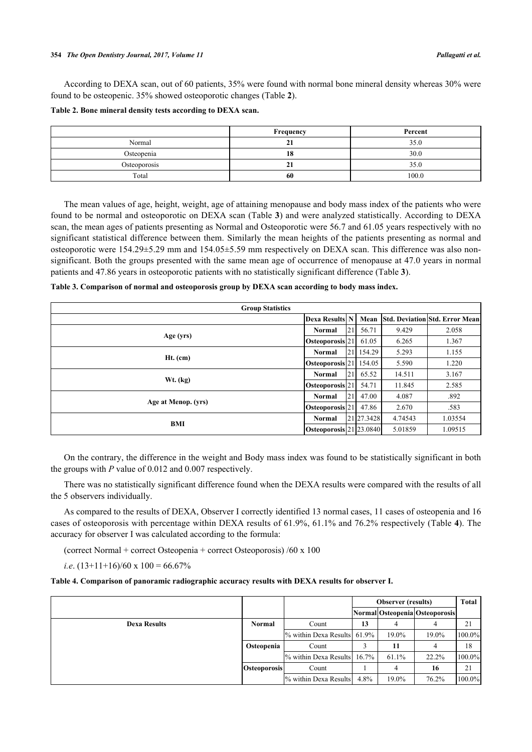### **354** *The Open Dentistry Journal, 2017, Volume 11 Pallagatti et al.*

According to DEXA scan, out of 60 patients, 35% were found with normal bone mineral density whereas 30% were found to be osteopenic. 35% showed osteoporotic changes (Table **[2](#page-4-0)**).

# <span id="page-4-0"></span>**Table 2. Bone mineral density tests according to DEXA scan.**

|              | Frequency | Percent |
|--------------|-----------|---------|
| Normal       | . .       | 35.0    |
| Osteopenia   | 10        | 30.0    |
| Osteoporosis | ◢         | 35.0    |
| Total        | 60        | 100.0   |

The mean values of age, height, weight, age of attaining menopause and body mass index of the patients who were found to be normal and osteoporotic on DEXA scan (Table **[3](#page-4-1)**) and were analyzed statistically. According to DEXA scan, the mean ages of patients presenting as Normal and Osteoporotic were 56.7 and 61.05 years respectively with no significant statistical difference between them. Similarly the mean heights of the patients presenting as normal and osteoporotic were 154.29±5.29 mm and 154.05±5.59 mm respectively on DEXA scan. This difference was also nonsignificant. Both the groups presented with the same mean age of occurrence of menopause at 47.0 years in normal patients and 47.86 years in osteoporotic patients with no statistically significant difference (Table **[3](#page-4-1)**).

<span id="page-4-1"></span>**Table 3. Comparison of normal and osteoporosis group by DEXA scan according to body mass index.**

| <b>Group Statistics</b> |                            |                            |                         |         |                                            |  |
|-------------------------|----------------------------|----------------------------|-------------------------|---------|--------------------------------------------|--|
|                         | <b>Dexa Results N</b>      |                            |                         |         | <b>Mean Std. Deviation Std. Error Mean</b> |  |
|                         |                            | 21                         | 56.71                   | 9.429   | 2.058                                      |  |
| Age (yrs)               | Osteoporosis <sup>21</sup> |                            | 61.05                   | 6.265   | 1.367                                      |  |
|                         | <b>Normal</b>              | 21                         | 154.29                  | 5.293   | 1.155                                      |  |
| $Ht.$ (cm)              |                            | Osteoporosis <sup>21</sup> | 154.05                  | 5.590   | 1.220                                      |  |
| Wt. (kg)                |                            | 21                         | 65.52                   | 14.511  | 3.167                                      |  |
|                         |                            | Osteoporosis <sup>21</sup> | 54.71                   | 11.845  | 2.585                                      |  |
| Age at Menop. (yrs)     | <b>Normal</b>              | 21                         | 47.00                   | 4.087   | .892                                       |  |
|                         |                            | Osteoporosis <sup>21</sup> | 47.86                   | 2.670   | .583                                       |  |
| BMI                     | <b>Normal</b>              |                            | 21 27 34 28             | 4.74543 | 1.03554                                    |  |
|                         |                            |                            | Osteoporosis 21 23.0840 | 5.01859 | 1.09515                                    |  |

On the contrary, the difference in the weight and Body mass index was found to be statistically significant in both the groups with *P* value of 0.012 and 0.007 respectively.

There was no statistically significant difference found when the DEXA results were compared with the results of all the 5 observers individually.

As compared to the results of DEXA, Observer I correctly identified 13 normal cases, 11 cases of osteopenia and 16 cases of osteoporosis with percentage within DEXA results of 61.9%, 61.1% and 76.2% respectively (Table **[4](#page-4-2)**). The accuracy for observer I was calculated according to the formula:

(correct Normal + correct Osteopenia + correct Osteoporosis) /60 x 100

*i.e.*  $(13+11+16)/60 \times 100 = 66.67\%$ 

#### <span id="page-4-2"></span>**Table 4. Comparison of panoramic radiographic accuracy results with DEXA results for observer I.**

|                     |                     |                                                     | <b>Observer</b> (results) |       | Total                          |        |
|---------------------|---------------------|-----------------------------------------------------|---------------------------|-------|--------------------------------|--------|
|                     |                     |                                                     |                           |       | Normal Osteopenia Osteoporosis |        |
| <b>Dexa Results</b> | Normal              | Count                                               | 13                        |       |                                | 21     |
|                     |                     | % within Dexa Results 61.9%                         |                           | 19.0% | 19.0%                          | 100.0% |
|                     | <b>Osteopenia</b>   | Count                                               |                           |       |                                | 18     |
|                     |                     | % within Dexa Results 16.7%                         |                           | 61.1% | 22.2%                          | 100.0% |
|                     | <b>Osteoporosis</b> | Count                                               |                           |       | 16                             | 21     |
|                     |                     | $\frac{1}{6}$ within Dexa Results $\frac{4.8\%}{6}$ |                           | 19.0% | 76.2%                          | 100.0% |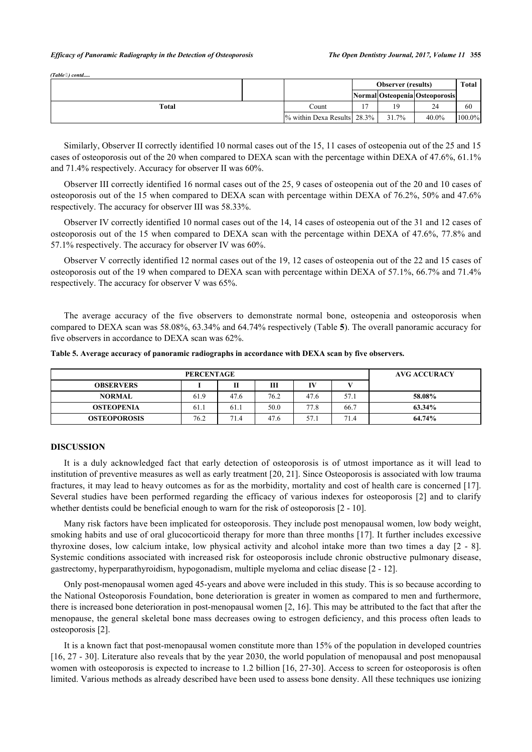#### *Efficacy of Panoramic Radiography in the Detection of Osteoporosis The Open Dentistry Journal, 2017, Volume 11* **355**

*(Table ) contd.....*

|       |                                | <b>Observer (results)</b> |       | Total                          |           |
|-------|--------------------------------|---------------------------|-------|--------------------------------|-----------|
|       |                                |                           |       | Normal Osteopenia Osteoporosis |           |
| Total | Count                          | $\overline{ }$            | 19    |                                | 60        |
|       | $\%$ within Dexa Results 28.3% |                           | 31.7% | 40.0%                          | $100.0\%$ |

Similarly, Observer II correctly identified 10 normal cases out of the 15, 11 cases of osteopenia out of the 25 and 15 cases of osteoporosis out of the 20 when compared to DEXA scan with the percentage within DEXA of 47.6%, 61.1% and 71.4% respectively. Accuracy for observer II was 60%.

Observer III correctly identified 16 normal cases out of the 25, 9 cases of osteopenia out of the 20 and 10 cases of osteoporosis out of the 15 when compared to DEXA scan with percentage within DEXA of 76.2%, 50% and 47.6% respectively. The accuracy for observer III was 58.33%.

Observer IV correctly identified 10 normal cases out of the 14, 14 cases of osteopenia out of the 31 and 12 cases of osteoporosis out of the 15 when compared to DEXA scan with the percentage within DEXA of 47.6%, 77.8% and 57.1% respectively. The accuracy for observer IV was 60%.

Observer V correctly identified 12 normal cases out of the 19, 12 cases of osteopenia out of the 22 and 15 cases of osteoporosis out of the 19 when compared to DEXA scan with percentage within DEXA of 57.1%, 66.7% and 71.4% respectively. The accuracy for observer V was 65%.

The average accuracy of the five observers to demonstrate normal bone, osteopenia and osteoporosis when compared to DEXA scan was 58.08%, 63.34% and 64.74% respectively (Table **[5](#page-5-0)**). The overall panoramic accuracy for five observers in accordance to DEXA scan was 62%.

<span id="page-5-0"></span>

| Table 5. Average accuracy of panoramic radiographs in accordance with DEXA scan by five observers. |  |
|----------------------------------------------------------------------------------------------------|--|
|                                                                                                    |  |

| <b>PERCENTAGE</b>   |      |      |      |      |              | <b>AVG ACCURACY</b> |
|---------------------|------|------|------|------|--------------|---------------------|
| <b>OBSERVERS</b>    |      | П    | Ш    | IV   | $\mathbf{V}$ |                     |
| <b>NORMAL</b>       | 61.9 | 47.6 | 76.2 | 47.6 | 57.1         | 58.08%              |
| <b>OSTEOPENIA</b>   | 61.1 | 61.1 | 50.0 | 77.8 | 66.7         | 63.34%              |
| <b>OSTEOPOROSIS</b> | 76.2 | 71.4 | 47.6 | 57.1 | 71.4         | 64.74%              |

# **DISCUSSION**

It is a duly acknowledged fact that early detection of osteoporosis is of utmost importance as it will lead to institution of preventive measures as well as early treatment [\[20](#page-8-13), [21](#page-8-7)]. Since Osteoporosis is associated with low trauma fractures, it may lead to heavy outcomes as for as the morbidity, mortality and cost of health care is concerned [\[17\]](#page-8-1). Several studies have been performed regarding the efficacy of various indexes for osteoporosis[[2](#page-7-2)] and to clarify whether dentists could be beneficial enough to warn for the risk of osteoporosis [[2](#page-7-2) - [10](#page-7-9)].

Many risk factors have been implicated for osteoporosis. They include post menopausal women, low body weight, smoking habits and use of oral glucocorticoid therapy for more than three months [[17](#page-8-1)]. It further includes excessive thyroxine doses, low calcium intake, low physical activity and alcohol intake more than two times a day [\[2](#page-7-2) - [8\]](#page-7-7). Systemic conditions associated with increased risk for osteoporosis include chronic obstructive pulmonary disease, gastrectomy, hyperparathyroidism, hypogonadism, multiple myeloma and celiac disease [[2](#page-7-2) - [12](#page-8-6)].

Only post-menopausal women aged 45-years and above were included in this study. This is so because according to the National Osteoporosis Foundation, bone deterioration is greater in women as compared to men and furthermore, there is increased bone deterioration in post-menopausal women [\[2](#page-7-2), [16](#page-8-0)]. This may be attributed to the fact that after the menopause, the general skeletal bone mass decreases owing to estrogen deficiency, and this process often leads to osteoporosis [[2\]](#page-7-2).

It is a known fact that post-menopausal women constitute more than 15% of the population in developed countries [\[16](#page-8-0), [27](#page-8-10) - [30](#page-8-14)]. Literature also reveals that by the year 2030, the world population of menopausal and post menopausal women with osteoporosis is expected to increase to 1.2 billion [16, 27-30]. Access to screen for osteoporosis is often limited. Various methods as already described have been used to assess bone density. All these techniques use ionizing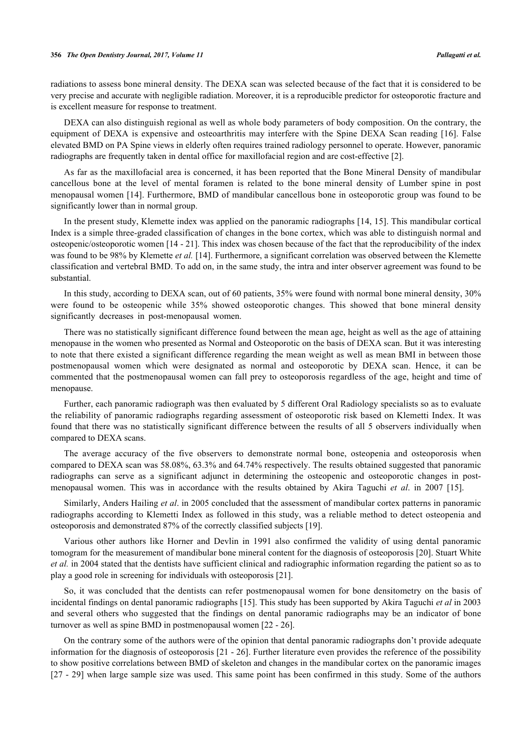#### **356** *The Open Dentistry Journal, 2017, Volume 11 Pallagatti et al.*

radiations to assess bone mineral density. The DEXA scan was selected because of the fact that it is considered to be very precise and accurate with negligible radiation. Moreover, it is a reproducible predictor for osteoporotic fracture and is excellent measure for response to treatment.

DEXA can also distinguish regional as well as whole body parameters of body composition. On the contrary, the equipment of DEXA is expensive and osteoarthritis may interfere with the Spine DEXA Scan reading [[16](#page-8-0)]. False elevated BMD on PA Spine views in elderly often requires trained radiology personnel to operate. However, panoramic radiographs are frequently taken in dental office for maxillofacial region and are cost-effective [\[2](#page-7-2)].

As far as the maxillofacial area is concerned, it has been reported that the Bone Mineral Density of mandibular cancellous bone at the level of mental foramen is related to the bone mineral density of Lumber spine in post menopausal women [\[14\]](#page-8-12). Furthermore, BMD of mandibular cancellous bone in osteoporotic group was found to be significantly lower than in normal group.

In the present study, Klemette index was applied on the panoramic radiographs [\[14,](#page-8-12) [15](#page-8-5)]. This mandibular cortical Index is a simple three-graded classification of changes in the bone cortex, which was able to distinguish normal and osteopenic/osteoporotic women [\[14](#page-8-12) - [21\]](#page-8-7). This index was chosen because of the fact that the reproducibility of the index was found to be 98% by Klemette *et al.* [\[14](#page-8-12)]. Furthermore, a significant correlation was observed between the Klemette classification and vertebral BMD. To add on, in the same study, the intra and inter observer agreement was found to be substantial.

In this study, according to DEXA scan, out of 60 patients, 35% were found with normal bone mineral density, 30% were found to be osteopenic while 35% showed osteoporotic changes. This showed that bone mineral density significantly decreases in post-menopausal women.

There was no statistically significant difference found between the mean age, height as well as the age of attaining menopause in the women who presented as Normal and Osteoporotic on the basis of DEXA scan. But it was interesting to note that there existed a significant difference regarding the mean weight as well as mean BMI in between those postmenopausal women which were designated as normal and osteoporotic by DEXA scan. Hence, it can be commented that the postmenopausal women can fall prey to osteoporosis regardless of the age, height and time of menopause.

Further, each panoramic radiograph was then evaluated by 5 different Oral Radiology specialists so as to evaluate the reliability of panoramic radiographs regarding assessment of osteoporotic risk based on Klemetti Index. It was found that there was no statistically significant difference between the results of all 5 observers individually when compared to DEXA scans.

The average accuracy of the five observers to demonstrate normal bone, osteopenia and osteoporosis when compared to DEXA scan was 58.08%, 63.3% and 64.74% respectively. The results obtained suggested that panoramic radiographs can serve as a significant adjunct in determining the osteopenic and osteoporotic changes in postmenopausal women. This was in accordance with the results obtained by Akira Taguchi *et al*. in 2007[[15\]](#page-8-5).

Similarly, Anders Hailing *et al*. in 2005 concluded that the assessment of mandibular cortex patterns in panoramic radiographs according to Klemetti Index as followed in this study, was a reliable method to detect osteopenia and osteoporosis and demonstrated 87% of the correctly classified subjects [\[19](#page-8-3)].

Various other authors like Horner and Devlin in 1991 also confirmed the validity of using dental panoramic tomogram for the measurement of mandibular bone mineral content for the diagnosis of osteoporosis [[20](#page-8-13)]. Stuart White *et al.* in 2004 stated that the dentists have sufficient clinical and radiographic information regarding the patient so as to play a good role in screening for individuals with osteoporosis [\[21](#page-8-7)].

So, it was concluded that the dentists can refer postmenopausal women for bone densitometry on the basis of incidental findings on dental panoramic radiographs [\[15](#page-8-5)]. This study has been supported by Akira Taguchi *et al* in 2003 and several others who suggested that the findings on dental panoramic radiographs may be an indicator of bone turnover as well as spine BMD in postmenopausal women [[22](#page-8-15) - [26](#page-8-8)].

On the contrary some of the authors were of the opinion that dental panoramic radiographs don't provide adequate information for the diagnosis of osteoporosis [[21](#page-8-7) - [26\]](#page-8-8). Further literature even provides the reference of the possibility to show positive correlations between BMD of skeleton and changes in the mandibular cortex on the panoramic images [\[27](#page-8-10) - [29\]](#page-8-11) when large sample size was used. This same point has been confirmed in this study. Some of the authors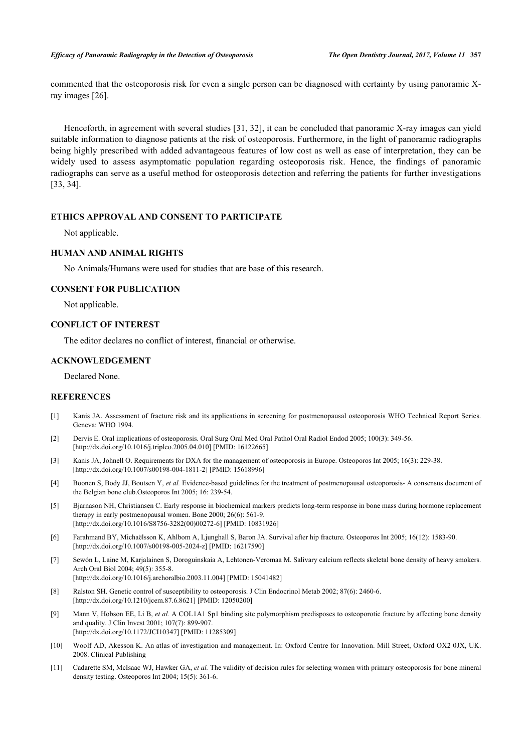commented that the osteoporosis risk for even a single person can be diagnosed with certainty by using panoramic Xray images [\[26](#page-8-8)].

Henceforth, in agreement with several studies [[31,](#page-8-16) [32](#page-8-17)], it can be concluded that panoramic X-ray images can yield suitable information to diagnose patients at the risk of osteoporosis. Furthermore, in the light of panoramic radiographs being highly prescribed with added advantageous features of low cost as well as ease of interpretation, they can be widely used to assess asymptomatic population regarding osteoporosis risk. Hence, the findings of panoramic radiographs can serve as a useful method for osteoporosis detection and referring the patients for further investigations [\[33](#page-8-18), [34](#page-9-0)].

### **ETHICS APPROVAL AND CONSENT TO PARTICIPATE**

Not applicable.

# **HUMAN AND ANIMAL RIGHTS**

No Animals/Humans were used for studies that are base of this research.

# **CONSENT FOR PUBLICATION**

Not applicable.

### **CONFLICT OF INTEREST**

The editor declares no conflict of interest, financial or otherwise.

#### **ACKNOWLEDGEMENT**

Declared None.

# **REFERENCES**

- <span id="page-7-0"></span>[1] Kanis JA. Assessment of fracture risk and its applications in screening for postmenopausal osteoporosis WHO Technical Report Series. Geneva: WHO 1994.
- <span id="page-7-2"></span>[2] Dervis E. Oral implications of osteoporosis. Oral Surg Oral Med Oral Pathol Oral Radiol Endod 2005; 100(3): 349-56. [\[http://dx.doi.org/10.1016/j.tripleo.2005.04.010\]](http://dx.doi.org/10.1016/j.tripleo.2005.04.010) [PMID: [16122665](http://www.ncbi.nlm.nih.gov/pubmed/16122665)]
- <span id="page-7-1"></span>[3] Kanis JA, Johnell O. Requirements for DXA for the management of osteoporosis in Europe. Osteoporos Int 2005; 16(3): 229-38. [\[http://dx.doi.org/10.1007/s00198-004-1811-2\]](http://dx.doi.org/10.1007/s00198-004-1811-2) [PMID: [15618996](http://www.ncbi.nlm.nih.gov/pubmed/15618996)]
- <span id="page-7-3"></span>[4] Boonen S, Body JJ, Boutsen Y, *et al.* Evidence-based guidelines for the treatment of postmenopausal osteoporosis- A consensus document of the Belgian bone club.Osteoporos Int 2005; 16: 239-54.
- <span id="page-7-4"></span>[5] Bjarnason NH, Christiansen C. Early response in biochemical markers predicts long-term response in bone mass during hormone replacement therapy in early postmenopausal women. Bone 2000; 26(6): 561-9. [\[http://dx.doi.org/10.1016/S8756-3282\(00\)00272-6\]](http://dx.doi.org/10.1016/S8756-3282(00)00272-6) [PMID: [10831926](http://www.ncbi.nlm.nih.gov/pubmed/10831926)]
- <span id="page-7-5"></span>[6] Farahmand BY, Michaëlsson K, Ahlbom A, Ljunghall S, Baron JA. Survival after hip fracture. Osteoporos Int 2005; 16(12): 1583-90. [\[http://dx.doi.org/10.1007/s00198-005-2024-z](http://dx.doi.org/10.1007/s00198-005-2024-z)] [PMID: [16217590](http://www.ncbi.nlm.nih.gov/pubmed/16217590)]
- <span id="page-7-6"></span>[7] Sewón L, Laine M, Karjalainen S, Doroguinskaia A, Lehtonen-Veromaa M. Salivary calcium reflects skeletal bone density of heavy smokers. Arch Oral Biol 2004; 49(5): 355-8. [\[http://dx.doi.org/10.1016/j.archoralbio.2003.11.004](http://dx.doi.org/10.1016/j.archoralbio.2003.11.004)] [PMID: [15041482](http://www.ncbi.nlm.nih.gov/pubmed/15041482)]
- <span id="page-7-7"></span>[8] Ralston SH. Genetic control of susceptibility to osteoporosis. J Clin Endocrinol Metab 2002; 87(6): 2460-6. [\[http://dx.doi.org/10.1210/jcem.87.6.8621](http://dx.doi.org/10.1210/jcem.87.6.8621)] [PMID: [12050200\]](http://www.ncbi.nlm.nih.gov/pubmed/12050200)
- <span id="page-7-8"></span>[9] Mann V, Hobson EE, Li B, *et al.* A COL1A1 Sp1 binding site polymorphism predisposes to osteoporotic fracture by affecting bone density and quality. J Clin Invest 2001; 107(7): 899-907. [\[http://dx.doi.org/10.1172/JCI10347\]](http://dx.doi.org/10.1172/JCI10347) [PMID: [11285309](http://www.ncbi.nlm.nih.gov/pubmed/11285309)]
- <span id="page-7-9"></span>[10] Woolf AD, Akesson K. An atlas of investigation and management. In: Oxford Centre for Innovation. Mill Street, Oxford OX2 0JX, UK. 2008. Clinical Publishing
- <span id="page-7-10"></span>[11] Cadarette SM, McIsaac WJ, Hawker GA, *et al.* The validity of decision rules for selecting women with primary osteoporosis for bone mineral density testing. Osteoporos Int 2004; 15(5): 361-6.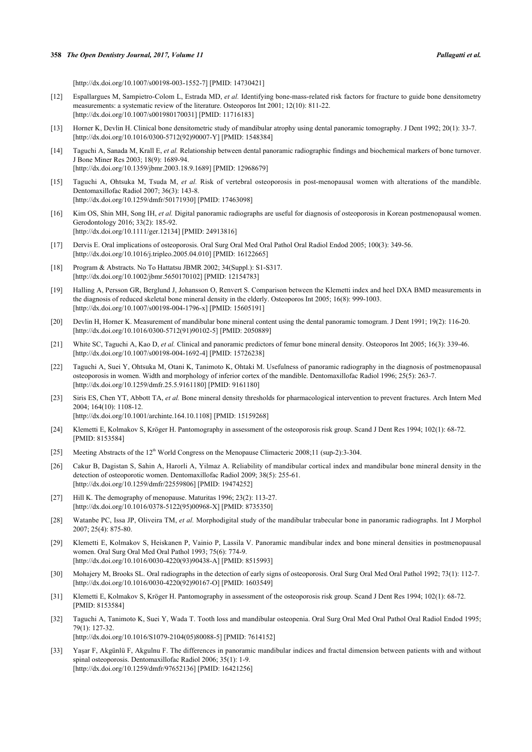[\[http://dx.doi.org/10.1007/s00198-003-1552-7\]](http://dx.doi.org/10.1007/s00198-003-1552-7) [PMID: [14730421](http://www.ncbi.nlm.nih.gov/pubmed/14730421)]

- <span id="page-8-6"></span>[12] Espallargues M, Sampietro-Colom L, Estrada MD, *et al.* Identifying bone-mass-related risk factors for fracture to guide bone densitometry measurements: a systematic review of the literature. Osteoporos Int 2001; 12(10): 811-22. [\[http://dx.doi.org/10.1007/s001980170031\]](http://dx.doi.org/10.1007/s001980170031) [PMID: [11716183](http://www.ncbi.nlm.nih.gov/pubmed/11716183)]
- <span id="page-8-9"></span>[13] Horner K, Devlin H. Clinical bone densitometric study of mandibular atrophy using dental panoramic tomography. J Dent 1992; 20(1): 33-7. [\[http://dx.doi.org/10.1016/0300-5712\(92\)90007-Y](http://dx.doi.org/10.1016/0300-5712(92)90007-Y)] [PMID: [1548384\]](http://www.ncbi.nlm.nih.gov/pubmed/1548384)
- <span id="page-8-12"></span>[14] Taguchi A, Sanada M, Krall E, *et al.* Relationship between dental panoramic radiographic findings and biochemical markers of bone turnover. J Bone Miner Res 2003; 18(9): 1689-94. [\[http://dx.doi.org/10.1359/jbmr.2003.18.9.1689\]](http://dx.doi.org/10.1359/jbmr.2003.18.9.1689) [PMID: [12968679](http://www.ncbi.nlm.nih.gov/pubmed/12968679)]
- <span id="page-8-5"></span>[15] Taguchi A, Ohtsuka M, Tsuda M, *et al.* Risk of vertebral osteoporosis in post-menopausal women with alterations of the mandible. Dentomaxillofac Radiol 2007; 36(3): 143-8. [\[http://dx.doi.org/10.1259/dmfr/50171930\]](http://dx.doi.org/10.1259/dmfr/50171930) [PMID: [17463098](http://www.ncbi.nlm.nih.gov/pubmed/17463098)]
- <span id="page-8-0"></span>[16] Kim OS, Shin MH, Song IH, *et al.* Digital panoramic radiographs are useful for diagnosis of osteoporosis in Korean postmenopausal women. Gerodontology 2016; 33(2): 185-92. [\[http://dx.doi.org/10.1111/ger.12134](http://dx.doi.org/10.1111/ger.12134)] [PMID: [24913816\]](http://www.ncbi.nlm.nih.gov/pubmed/24913816)
- <span id="page-8-1"></span>[17] Dervis E. Oral implications of osteoporosis. Oral Surg Oral Med Oral Pathol Oral Radiol Endod 2005; 100(3): 349-56. [\[http://dx.doi.org/10.1016/j.tripleo.2005.04.010\]](http://dx.doi.org/10.1016/j.tripleo.2005.04.010) [PMID: [16122665](http://www.ncbi.nlm.nih.gov/pubmed/16122665)]
- <span id="page-8-2"></span>[18] Program & Abstracts. No To Hattatsu JBMR 2002; 34(Suppl.): S1-S317. [\[http://dx.doi.org/10.1002/jbmr.5650170102\]](http://dx.doi.org/10.1002/jbmr.5650170102) [PMID: [12154783](http://www.ncbi.nlm.nih.gov/pubmed/12154783)]
- <span id="page-8-3"></span>[19] Halling A, Persson GR, Berglund J, Johansson O, Renvert S. Comparison between the Klemetti index and heel DXA BMD measurements in the diagnosis of reduced skeletal bone mineral density in the elderly. Osteoporos Int 2005; 16(8): 999-1003. [\[http://dx.doi.org/10.1007/s00198-004-1796-x\]](http://dx.doi.org/10.1007/s00198-004-1796-x) [PMID: [15605191](http://www.ncbi.nlm.nih.gov/pubmed/15605191)]
- <span id="page-8-13"></span>[20] Devlin H, Horner K. Measurement of mandibular bone mineral content using the dental panoramic tomogram. J Dent 1991; 19(2): 116-20. [\[http://dx.doi.org/10.1016/0300-5712\(91\)90102-5](http://dx.doi.org/10.1016/0300-5712(91)90102-5)] [PMID: [2050889](http://www.ncbi.nlm.nih.gov/pubmed/2050889)]
- <span id="page-8-7"></span>[21] White SC, Taguchi A, Kao D, *et al.* Clinical and panoramic predictors of femur bone mineral density. Osteoporos Int 2005; 16(3): 339-46. [\[http://dx.doi.org/10.1007/s00198-004-1692-4\]](http://dx.doi.org/10.1007/s00198-004-1692-4) [PMID: [15726238](http://www.ncbi.nlm.nih.gov/pubmed/15726238)]
- <span id="page-8-15"></span>[22] Taguchi A, Suei Y, Ohtsuka M, Otani K, Tanimoto K, Ohtaki M. Usefulness of panoramic radiography in the diagnosis of postmenopausal osteoporosis in women. Width and morphology of inferior cortex of the mandible. Dentomaxillofac Radiol 1996; 25(5): 263-7. [\[http://dx.doi.org/10.1259/dmfr.25.5.9161180](http://dx.doi.org/10.1259/dmfr.25.5.9161180)] [PMID: [9161180\]](http://www.ncbi.nlm.nih.gov/pubmed/9161180)
- <span id="page-8-4"></span>[23] Siris ES, Chen YT, Abbott TA, *et al.* Bone mineral density thresholds for pharmacological intervention to prevent fractures. Arch Intern Med 2004; 164(10): 1108-12. [\[http://dx.doi.org/10.1001/archinte.164.10.1108\]](http://dx.doi.org/10.1001/archinte.164.10.1108) [PMID: [15159268](http://www.ncbi.nlm.nih.gov/pubmed/15159268)]
- [24] Klemetti E, Kolmakov S, Kröger H. Pantomography in assessment of the osteoporosis risk group. Scand J Dent Res 1994; 102(1): 68-72. [PMID: [8153584\]](http://www.ncbi.nlm.nih.gov/pubmed/8153584)
- [25] Meeting Abstracts of the  $12<sup>th</sup>$  World Congress on the Menopause Climacteric 2008;11 (sup-2):3-304.
- <span id="page-8-8"></span>[26] Cakur B, Dagistan S, Sahin A, Harorli A, Yilmaz A. Reliability of mandibular cortical index and mandibular bone mineral density in the detection of osteoporotic women. Dentomaxillofac Radiol 2009; 38(5): 255-61. [\[http://dx.doi.org/10.1259/dmfr/22559806\]](http://dx.doi.org/10.1259/dmfr/22559806) [PMID: [19474252](http://www.ncbi.nlm.nih.gov/pubmed/19474252)]
- <span id="page-8-10"></span>[27] Hill K. The demography of menopause. Maturitas 1996; 23(2): 113-27. [\[http://dx.doi.org/10.1016/0378-5122\(95\)00968-X](http://dx.doi.org/10.1016/0378-5122(95)00968-X)] [PMID: [8735350\]](http://www.ncbi.nlm.nih.gov/pubmed/8735350)
- [28] Watanbe PC, Issa JP, Oliveira TM, *et al.* Morphodigital study of the mandibular trabecular bone in panoramic radiographs. Int J Morphol 2007; 25(4): 875-80.
- <span id="page-8-11"></span>[29] Klemetti E, Kolmakov S, Heiskanen P, Vainio P, Lassila V. Panoramic mandibular index and bone mineral densities in postmenopausal women. Oral Surg Oral Med Oral Pathol 1993; 75(6): 774-9. [\[http://dx.doi.org/10.1016/0030-4220\(93\)90438-A](http://dx.doi.org/10.1016/0030-4220(93)90438-A)] [PMID: [8515993\]](http://www.ncbi.nlm.nih.gov/pubmed/8515993)
- <span id="page-8-14"></span>[30] Mohajery M, Brooks SL. Oral radiographs in the detection of early signs of osteoporosis. Oral Surg Oral Med Oral Pathol 1992; 73(1): 112-7. [\[http://dx.doi.org/10.1016/0030-4220\(92\)90167-O](http://dx.doi.org/10.1016/0030-4220(92)90167-O)] [PMID: [1603549\]](http://www.ncbi.nlm.nih.gov/pubmed/1603549)
- <span id="page-8-16"></span>[31] Klemetti E, Kolmakov S, Kröger H. Pantomography in assessment of the osteoporosis risk group. Scand J Dent Res 1994; 102(1): 68-72. [PMID: [8153584\]](http://www.ncbi.nlm.nih.gov/pubmed/8153584)
- <span id="page-8-17"></span>[32] Taguchi A, Tanimoto K, Suei Y, Wada T. Tooth loss and mandibular osteopenia. Oral Surg Oral Med Oral Pathol Oral Radiol Endod 1995; 79(1): 127-32. [\[http://dx.doi.org/10.1016/S1079-2104\(05\)80088-5\]](http://dx.doi.org/10.1016/S1079-2104(05)80088-5) [PMID: [7614152](http://www.ncbi.nlm.nih.gov/pubmed/7614152)]
- <span id="page-8-18"></span>[33] Yaşar F, Akgünlü F, Akgulnu F. The differences in panoramic mandibular indices and fractal dimension between patients with and without spinal osteoporosis. Dentomaxillofac Radiol 2006; 35(1): 1-9. [\[http://dx.doi.org/10.1259/dmfr/97652136\]](http://dx.doi.org/10.1259/dmfr/97652136) [PMID: [16421256](http://www.ncbi.nlm.nih.gov/pubmed/16421256)]